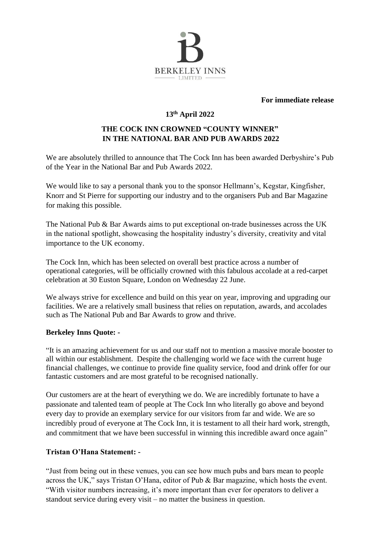

#### **For immediate release**

# **13th April 2022**

## **THE COCK INN CROWNED "COUNTY WINNER" IN THE NATIONAL BAR AND PUB AWARDS 2022**

We are absolutely thrilled to announce that The Cock Inn has been awarded Derbyshire's Pub of the Year in the National Bar and Pub Awards 2022.

We would like to say a personal thank you to the sponsor Hellmann's, Kegstar, Kingfisher, Knorr and St Pierre for supporting our industry and to the organisers Pub and Bar Magazine for making this possible.

The National Pub & Bar Awards aims to put exceptional on-trade businesses across the UK in the national spotlight, showcasing the hospitality industry's diversity, creativity and vital importance to the UK economy.

The Cock Inn, which has been selected on overall best practice across a number of operational categories, will be officially crowned with this fabulous accolade at a red-carpet celebration at 30 Euston Square, London on Wednesday 22 June.

We always strive for excellence and build on this year on year, improving and upgrading our facilities. We are a relatively small business that relies on reputation, awards, and accolades such as The National Pub and Bar Awards to grow and thrive.

#### **Berkeley Inns Quote: -**

"It is an amazing achievement for us and our staff not to mention a massive morale booster to all within our establishment. Despite the challenging world we face with the current huge financial challenges, we continue to provide fine quality service, food and drink offer for our fantastic customers and are most grateful to be recognised nationally.

Our customers are at the heart of everything we do. We are incredibly fortunate to have a passionate and talented team of people at The Cock Inn who literally go above and beyond every day to provide an exemplary service for our visitors from far and wide. We are so incredibly proud of everyone at The Cock Inn, it is testament to all their hard work, strength, and commitment that we have been successful in winning this incredible award once again"

### **Tristan O'Hana Statement: -**

"Just from being out in these venues, you can see how much pubs and bars mean to people across the UK," says Tristan O'Hana, editor of Pub & Bar magazine, which hosts the event. "With visitor numbers increasing, it's more important than ever for operators to deliver a standout service during every visit – no matter the business in question.